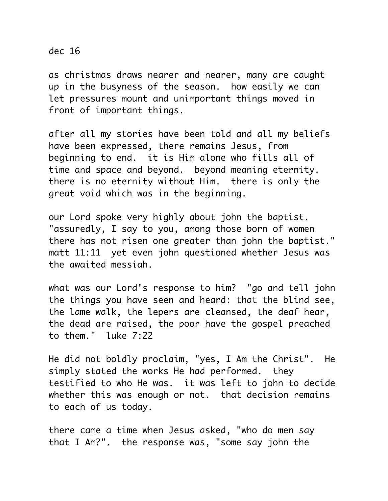dec 16

as christmas draws nearer and nearer, many are caught up in the busyness of the season. how easily we can let pressures mount and unimportant things moved in front of important things.

after all my stories have been told and all my beliefs have been expressed, there remains Jesus, from beginning to end. it is Him alone who fills all of time and space and beyond. beyond meaning eternity. there is no eternity without Him. there is only the great void which was in the beginning.

our Lord spoke very highly about john the baptist. "assuredly, I say to you, among those born of women there has not risen one greater than john the baptist." matt 11:11 yet even john questioned whether Jesus was the awaited messiah.

what was our Lord's response to him? "go and tell john the things you have seen and heard: that the blind see, the lame walk, the lepers are cleansed, the deaf hear, the dead are raised, the poor have the gospel preached to them." luke 7:22

He did not boldly proclaim, "yes, I Am the Christ". He simply stated the works He had performed. they testified to who He was. it was left to john to decide whether this was enough or not. that decision remains to each of us today.

there came a time when Jesus asked, "who do men say that I Am?". the response was, "some say john the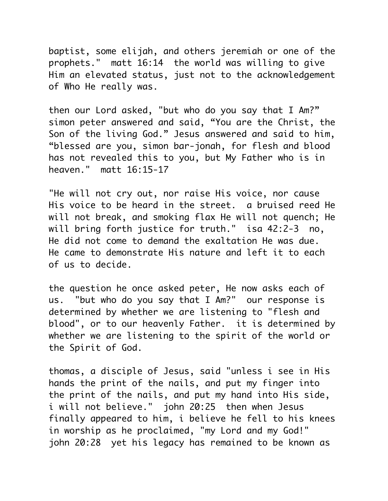baptist, some elijah, and others jeremiah or one of the prophets." matt 16:14 the world was willing to give Him an elevated status, just not to the acknowledgement of Who He really was.

then our Lord asked, "but who do you say that I Am?" simon peter answered and said, "You are the Christ, the Son of the living God." Jesus answered and said to him, "blessed are you, simon bar-jonah, for flesh and blood has not revealed this to you, but My Father who is in heaven." matt 16:15-17

"He will not cry out, nor raise His voice, nor cause His voice to be heard in the street. a bruised reed He will not break, and smoking flax He will not quench; He will bring forth justice for truth." isa 42:2-3 no, He did not come to demand the exaltation He was due. He came to demonstrate His nature and left it to each of us to decide.

the question he once asked peter, He now asks each of us. "but who do you say that I Am?" our response is determined by whether we are listening to "flesh and blood", or to our heavenly Father. it is determined by whether we are listening to the spirit of the world or the Spirit of God.

thomas, a disciple of Jesus, said "unless i see in His hands the print of the nails, and put my finger into the print of the nails, and put my hand into His side, i will not believe." john 20:25 then when Jesus finally appeared to him, i believe he fell to his knees in worship as he proclaimed, "my Lord and my God!" john 20:28 yet his legacy has remained to be known as